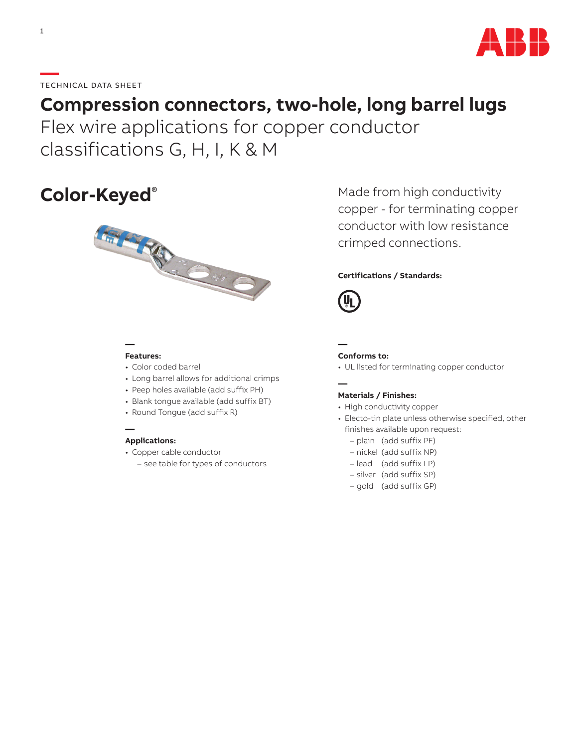

## **—**TECHNICAL DATA SHEET

# **Compression connectors, two-hole, long barrel lugs**

Flex wire applications for copper conductor classifications G, H, I, K & M

# **Color-Keyed**®



Made from high conductivity copper - for terminating copper conductor with low resistance crimped connections.

### **Certifications / Standards:**



**—**

#### **— Features:**

- Color coded barrel
- Long barrel allows for additional crimps
- Peep holes available (add suffix PH)
- Blank tongue available (add suffix BT)
- Round Tongue (add suffix R)

#### **Applications:**

**—**

- Copper cable conductor
	- see table for types of conductors

#### **— Conforms to:**

• UL listed for terminating copper conductor

#### **Materials / Finishes:**

- High conductivity copper
- Electo-tin plate unless otherwise specified, other finishes available upon request:
	- plain (add suffix PF)
	- nickel (add suffix NP)
	- lead (add suffix LP)
	- silver (add suffix SP)
	- gold (add suffix GP)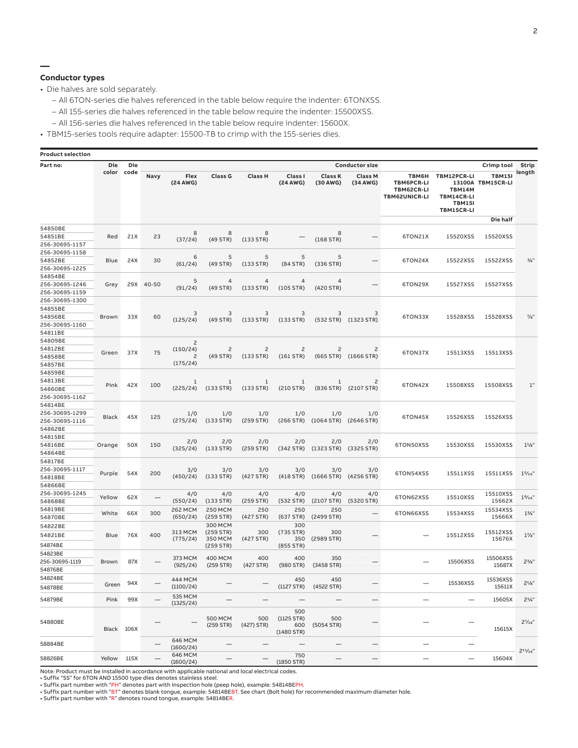**—**

### **Conductor types**

• Die halves are sold separately.

- All 6TON-series die halves referenced in the table below require the indenter: 6TONXSS.
- All 155-series die halves referenced in the table below require the indenter: 15500XSS.
- All 156-series die halves referenced in the table below require indenter: 15600X.

• TBM15-series tools require adapter: 15500-TB to crimp with the 155-series dies.

| <b>Product selection</b>  |                          |            |           |                            |                  |                             |                     |                             |                            |                                                                  |                                                                           |                                    |                    |  |
|---------------------------|--------------------------|------------|-----------|----------------------------|------------------|-----------------------------|---------------------|-----------------------------|----------------------------|------------------------------------------------------------------|---------------------------------------------------------------------------|------------------------------------|--------------------|--|
| Part no:                  | <b>Die</b><br>color code | Die        |           | Flex<br>(24 AWG)           | <b>Class G</b>   | <b>Class H</b>              |                     |                             | <b>Conductor size</b>      |                                                                  |                                                                           | Crimp tool                         | Strip<br>length    |  |
|                           |                          |            | Navy      |                            |                  |                             | Class I<br>(24 AWG) | <b>Class K</b><br>(30 AWG)  | <b>Class M</b><br>(34 AWG) | <b>ТВМ6Н</b><br><b>TBM6PCR-LI</b><br>TBM62CR-LI<br>TBM62UNICR-LI | TBM12PCR-LI<br><b>TBM14M</b><br>TBM14CR-LI<br><b>TBM151</b><br>TBM15CR-LI | <b>TBM151</b><br>13100A TBM15CR-LI |                    |  |
|                           |                          |            |           |                            |                  |                             |                     |                             |                            |                                                                  |                                                                           | Die half                           |                    |  |
| 54850BE                   |                          |            |           | 8                          | 8                | 8                           |                     | 8                           |                            |                                                                  |                                                                           |                                    |                    |  |
| 54851BE                   | Red                      | 21X        | 23        | (37/24)                    | $(49$ STR)       | (133 STR)                   |                     | $(168$ STR)                 |                            | 6TON21X                                                          | 15520XSS                                                                  | 15520XSS                           |                    |  |
| 256-30695-1157            |                          |            |           |                            |                  |                             |                     |                             |                            |                                                                  |                                                                           |                                    |                    |  |
| 256-30695-1158<br>54852BE | Blue                     | 24X        | 30        | 6<br>(61/24)               | 5                | 5                           | 5<br>(84 STR)       | 5<br>(336 STR)              |                            | 6TON24X                                                          | 15522XSS                                                                  | 15522XSS                           | $^{3}/_{4}$        |  |
| 256-30695-1225            |                          |            |           |                            | $(49$ STR)       | (133 STR)                   |                     |                             |                            |                                                                  |                                                                           |                                    |                    |  |
| 54854BE                   |                          |            |           |                            |                  |                             |                     |                             |                            |                                                                  |                                                                           |                                    |                    |  |
| 256-30695-1246            | Grey                     |            | 29X 40-50 | 5                          | 4                | $\overline{4}$<br>(133 STR) | 4<br>$(105$ STR)    | $\overline{4}$              |                            | 6TON29X                                                          | 15527XSS                                                                  | 15527XSS                           |                    |  |
| 256-30695-1159            |                          |            |           | (91/24)                    | $(49$ STR)       |                             |                     | (420 STR)                   |                            |                                                                  |                                                                           |                                    |                    |  |
| 256-30695-1300            |                          |            |           |                            |                  |                             |                     |                             |                            |                                                                  |                                                                           |                                    |                    |  |
| 54855BE                   |                          | 33X        | 60        | 3<br>(125/24)              | 3<br>$(49$ STR)  | 3<br>(133 STR)              | 3<br>(133 STR)      | 3<br>(532 STR)              | 3<br>(1323 STR)            | 6TON33X                                                          | 15528XSS                                                                  | 15528XSS                           | $\frac{7}{8}$ "    |  |
| 54856BE                   | Brown                    |            |           |                            |                  |                             |                     |                             |                            |                                                                  |                                                                           |                                    |                    |  |
| 256-30695-1160            |                          |            |           |                            |                  |                             |                     |                             |                            |                                                                  |                                                                           |                                    |                    |  |
| 54811BE                   |                          |            |           |                            |                  |                             |                     |                             |                            |                                                                  |                                                                           |                                    |                    |  |
| 54809BE                   |                          |            |           | $\overline{c}$<br>(150/24) |                  | $\overline{c}$<br>(133 STR) | 2<br>$(161$ STR)    | $\overline{c}$<br>(665 STR) | 2<br>(1666 STR)            | 6TON37X                                                          | 15513XSS                                                                  | 15513XSS                           |                    |  |
| 54812BE                   | Green                    | 37X        | 75        |                            | 2<br>$(49$ STR)  |                             |                     |                             |                            |                                                                  |                                                                           |                                    |                    |  |
| 54858BE                   |                          |            |           | $\overline{c}$<br>(175/24) |                  |                             |                     |                             |                            |                                                                  |                                                                           |                                    |                    |  |
| 54857BE<br>54859BE        |                          |            |           |                            |                  |                             |                     |                             |                            |                                                                  |                                                                           |                                    |                    |  |
| 54813BE                   |                          |            |           |                            |                  |                             |                     |                             |                            |                                                                  |                                                                           |                                    |                    |  |
| 54860BE                   | Pink                     | 42X        | 100       | 1<br>(225/24)              | 1<br>(133 STR)   | 1<br>(133 STR)              | 1<br>(210 STR)      | 1<br>(836 STR)              | 2<br>(2107 STR)            | 6TON42X                                                          | 15508XSS                                                                  | 15508XSS                           | 1"                 |  |
| 256-30695-1162            |                          |            |           |                            |                  |                             |                     |                             |                            |                                                                  |                                                                           |                                    |                    |  |
| 54814BE                   |                          |            |           |                            |                  |                             |                     |                             |                            |                                                                  |                                                                           |                                    |                    |  |
| 256-30695-1299            |                          |            |           | 1/0                        | 1/0              | 1/0                         | 1/0                 | 1/0                         | 1/0                        |                                                                  |                                                                           |                                    |                    |  |
| 256-30695-1116            | Black                    | 45X        | 125       | (275/24)                   | $(133$ STR)      | $(259$ STR)                 | (266 STR)           | $(1064$ STR)                | (2646 STR)                 | 6TON45X                                                          | 15526XSS                                                                  | 15526XSS                           |                    |  |
| 54862BE                   |                          |            |           |                            |                  |                             |                     |                             |                            |                                                                  |                                                                           |                                    |                    |  |
| 54815BE                   |                          |            |           |                            |                  |                             |                     |                             |                            |                                                                  |                                                                           |                                    |                    |  |
| 54816BE                   | Orange                   | 50X        | 150       | 2/0<br>(325/24)            | 2/0<br>(133 STR) | 2/0<br>$(259$ STR)          | 2/0<br>(342 STR)    | 2/0<br>(1323 STR)           | 2/0<br>(3325 STR)          | 6TON50XSS                                                        | 15530XSS                                                                  | 15530XSS                           | $1^{1/s}$          |  |
| 54864BE                   |                          |            |           |                            |                  |                             |                     |                             |                            |                                                                  |                                                                           |                                    |                    |  |
| 54817BE                   |                          |            |           |                            |                  |                             |                     |                             |                            |                                                                  |                                                                           |                                    |                    |  |
| 256-30695-1117            | Purple                   | 54X        | 200       | 3/0                        | 3/0              | 3/0                         | 3/0                 | 3/0                         | 3/0                        | 6TON54XSS                                                        | 15511XSS                                                                  | 15511XSS                           | 1 <sup>5</sup> /16 |  |
| 54818BE                   |                          |            |           | (450/24)                   | (133 STR)        | (427 STR)                   | (418 STR)           | (1666 STR)                  | (4256 STR)                 |                                                                  |                                                                           |                                    |                    |  |
| 54866BE<br>256-30695-1245 |                          |            |           |                            |                  |                             |                     |                             |                            |                                                                  |                                                                           |                                    |                    |  |
| 54868BE                   | Yellow                   | 62X        |           | 4/0<br>(550/24)            | 4/0<br>(133 STR) | 4/0<br>$(259$ STR)          | 4/0<br>(532 STR)    | 4/0<br>(2107 STR)           | 4/0<br>(5320 STR)          | 6TON62XSS                                                        | 15510XSS                                                                  | 15510XSS<br>15662X                 | $1\frac{9}{16}$    |  |
| 54819BE                   |                          |            |           | <b>262 MCM</b>             | <b>250 MCM</b>   | 250                         | 250                 | 250                         |                            |                                                                  |                                                                           | 15534XSS                           |                    |  |
| 54870BE                   | White                    | 66X        | 300       | (650/24)                   | (259 STR)        | (427 STR)                   | (637 STR)           | (2499 STR)                  | —                          | 6TON66XSS                                                        | 15534XSS                                                                  | 15666X                             | $1\frac{3}{4}$ "   |  |
| 54822BE                   |                          |            |           |                            | 300 MCM          |                             | 300                 |                             |                            |                                                                  |                                                                           |                                    |                    |  |
| 54821BE                   | <b>Blue</b>              | 76X        | 400       | 313 MCM                    | $(259$ STR)      | 300                         | (735 STR)           | 300                         |                            |                                                                  | 15512XSS                                                                  | 15512XSS                           | $1\frac{7}{8}$     |  |
|                           |                          |            |           | (775/24)                   | 350 MCM          | (427 STR)                   | 350                 | (2989 STR)                  |                            |                                                                  |                                                                           | 15676X                             |                    |  |
| 54874BE<br>54823BE        |                          |            |           |                            | $(259$ STR)      |                             | (855 STR)           |                             |                            |                                                                  |                                                                           |                                    |                    |  |
| 256-30695-1119            | <b>Brown</b>             | 87X        |           | 373 MCM                    | <b>400 MCM</b>   | 400                         | 400                 | 350                         | .                          |                                                                  | 15506XSS                                                                  | 15506XSS                           | $2^{3}/8"$         |  |
| 54876BE                   |                          |            |           | (925/24)                   | (259 STR)        | (427 STR)                   | (980 STR)           | (3458 STR)                  |                            |                                                                  |                                                                           | 15687X                             |                    |  |
| 54824BE                   |                          |            |           | 444 MCM                    |                  |                             | 450                 | 450                         |                            |                                                                  |                                                                           | 15536XSS                           |                    |  |
| 54878BE                   | Green                    | 94X        |           | (1100/24)                  |                  |                             |                     | (1127 STR) (4522 STR)       |                            |                                                                  | 15536XSS                                                                  | 15611X                             | $2^{1}/s$ "        |  |
|                           |                          |            |           | 535 MCM                    |                  |                             |                     |                             |                            |                                                                  |                                                                           |                                    |                    |  |
| 54879BE                   | Pink                     | 99X        |           | (1325/24)                  |                  |                             |                     |                             |                            |                                                                  |                                                                           | 15605X                             | $2^{1/4}$ "        |  |
|                           |                          |            |           |                            | <b>500 MCM</b>   | 500                         | 500<br>(1125 STR)   | 500                         |                            |                                                                  |                                                                           |                                    |                    |  |
| 54880BE                   |                          |            |           |                            | $(259$ STR)      | (427) STR)                  | 600                 | (5054 STR)                  |                            |                                                                  |                                                                           |                                    | $2^{7}/16"$        |  |
|                           |                          | Black 106X |           |                            |                  |                             | $(1480$ STR)        |                             |                            |                                                                  |                                                                           | 15615X                             |                    |  |
| 58884BE                   |                          |            |           | 646 MCM<br>(1600/24)       |                  |                             |                     |                             |                            |                                                                  |                                                                           |                                    |                    |  |
|                           |                          |            |           | 646 MCM                    |                  |                             | 750                 |                             |                            |                                                                  |                                                                           |                                    | $2^{11}/16$ "      |  |
| 58826BE                   | Yellow 115X              |            |           | (1600/24)                  |                  |                             | $(1850$ STR)        |                             |                            | -                                                                |                                                                           | 15604X                             |                    |  |

Note: Product must be installed in accordance with applicable national and local electrical codes. • Suffix "SS" for 6TON AND 15500 type dies denotes stainless steel.

• Suffix part number with "PH" denotes part with inspection hole (peep hole), example: 54814BEPH.<br>• Suffix part number with "BT" denotes blank tongue, example: 54814BEBT. See chart (Bolt hole) for recommended maximum diame